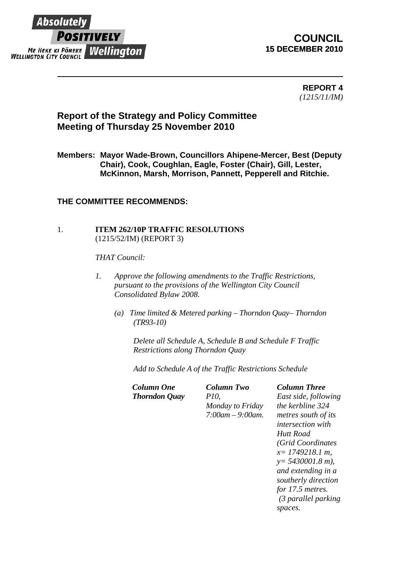

# **COUNCIL 15 DECEMBER 2010**

**REPORT 4**  *(1215/11/IM)* 

# **Report of the Strategy and Policy Committee Meeting of Thursday 25 November 2010**

**Members: Mayor Wade-Brown, Councillors Ahipene-Mercer, Best (Deputy Chair), Cook, Coughlan, Eagle, Foster (Chair), Gill, Lester, McKinnon, Marsh, Morrison, Pannett, Pepperell and Ritchie.** 

## **THE COMMITTEE RECOMMENDS:**

### 1. **ITEM 262/10P TRAFFIC RESOLUTIONS** (1215/52/IM) (REPORT 3)

*THAT Council:* 

- *1. Approve the following amendments to the Traffic Restrictions, pursuant to the provisions of the Wellington City Council Consolidated Bylaw 2008.* 
	- *(a) Time limited & Metered parking Thorndon Quay– Thorndon (TR93-10)*

*Delete all Schedule A, Schedule B and Schedule F Traffic Restrictions along Thorndon Quay* 

*Add to Schedule A of the Traffic Restrictions Schedule* 

*Thorndon Quay P10,* 

*Column One Column Two Column Three Monday to Friday 7:00am – 9:00am.*

*East side, following the kerbline 324 metres south of its intersection with Hutt Road (Grid Coordinates x= 1749218.1 m, y= 5430001.8 m), and extending in a southerly direction for 17.5 metres. (3 parallel parking spaces.*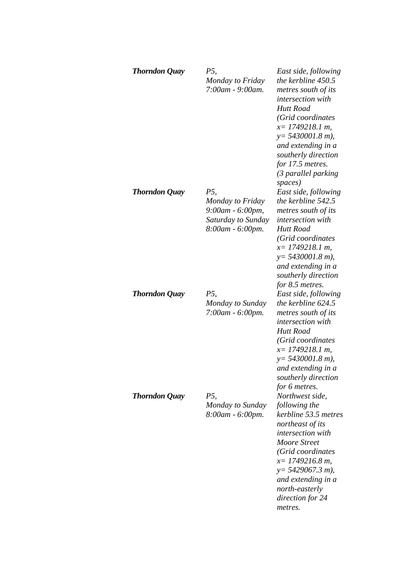| <b>Thorndon Quay</b> | P5,<br>Monday to Friday<br>7:00am - 9:00am.                                           | East side, following<br>the kerbline 450.5<br>metres south of its<br>intersection with<br>Hutt Road<br>(Grid coordinates<br>$x=$ 1749218.1 m,<br>$y = 5430001.8$ m),<br>and extending in a<br>southerly direction<br>for 17.5 metres.<br>(3 parallel parking<br>spaces) |
|----------------------|---------------------------------------------------------------------------------------|-------------------------------------------------------------------------------------------------------------------------------------------------------------------------------------------------------------------------------------------------------------------------|
| <b>Thorndon Quay</b> | P5,<br>Monday to Friday<br>9:00am - 6:00pm,<br>Saturday to Sunday<br>8:00am - 6:00pm. | East side, following<br>the kerbline 542.5<br>metres south of its<br>intersection with<br><b>Hutt Road</b><br>(Grid coordinates<br>$x=$ 1749218.1 m,<br>$y = 5430001.8 m$ ),<br>and extending in a<br>southerly direction<br>for 8.5 metres.                            |
| <b>Thorndon Quay</b> | <i>P5</i> .<br>Monday to Sunday<br>7:00am - 6:00pm.                                   | East side, following<br>the kerbline 624.5<br>metres south of its<br>intersection with<br><b>Hutt Road</b><br>(Grid coordinates<br>$x=$ 1749218.1 m,<br>$y = 5430001.8$ m),<br>and extending in a<br>southerly direction<br>for 6 metres.                               |
| <b>Thorndon Quay</b> | P5,<br>Monday to Sunday<br>8:00am - 6:00pm.                                           | Northwest side,<br>following the<br>kerbline 53.5 metres<br>northeast of its<br>intersection with<br><b>Moore Street</b><br>(Grid coordinates<br>$x=1749216.8 m$ ,<br>$y = 5429067.3 m$ ),<br>and extending in a<br>north-easterly<br>direction for 24<br>metres.       |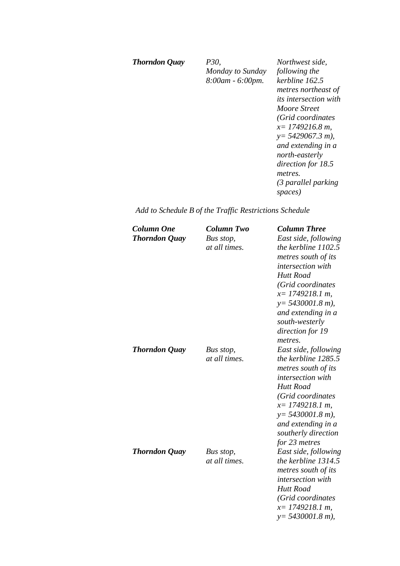#### *Thorndon Quay P30,*

*Monday to Sunday 8:00am - 6:00pm.*

*Northwest side, following the kerbline 162.5 metres northeast of its intersection with Moore Street (Grid coordinates x= 1749216.8 m, y= 5429067.3 m), and extending in a north-easterly direction for 18.5 metres. (3 parallel parking spaces)* 

## *Add to Schedule B of the Traffic Restrictions Schedule*

| <b>Column One</b><br><b>Thorndon Quay</b> | <b>Column Two</b><br>Bus stop, | <b>Column Three</b><br>East side, following  |
|-------------------------------------------|--------------------------------|----------------------------------------------|
|                                           | at all times.                  | the kerbline $1102.5$<br>metres south of its |
|                                           |                                | <i>intersection with</i>                     |
|                                           |                                | <b>Hutt Road</b>                             |
|                                           |                                | (Grid coordinates                            |
|                                           |                                | $x=$ 1749218.1 m,                            |
|                                           |                                | $y = 5430001.8$ m),                          |
|                                           |                                | and extending in a<br>south-westerly         |
|                                           |                                | direction for 19                             |
|                                           |                                | metres.                                      |
| <b>Thorndon Quay</b>                      | Bus stop,                      | East side, following                         |
|                                           | at all times.                  | the kerbline 1285.5                          |
|                                           |                                | metres south of its                          |
|                                           |                                | intersection with                            |
|                                           |                                | <b>Hutt Road</b>                             |
|                                           |                                | (Grid coordinates                            |
|                                           |                                | $x=$ 1749218.1 m,                            |
|                                           |                                | $y = 5430001.8$ m),                          |
|                                           |                                | and extending in a                           |
|                                           |                                | southerly direction                          |
| <b>Thorndon Quay</b>                      | Bus stop,                      | for 23 metres<br>East side, following        |
|                                           | at all times.                  | the kerbline 1314.5                          |
|                                           |                                | metres south of its                          |
|                                           |                                | intersection with                            |
|                                           |                                | <b>Hutt Road</b>                             |
|                                           |                                | (Grid coordinates                            |
|                                           |                                | $x=$ 1749218.1 m,                            |
|                                           |                                | $y = 5430001.8 m$ ,                          |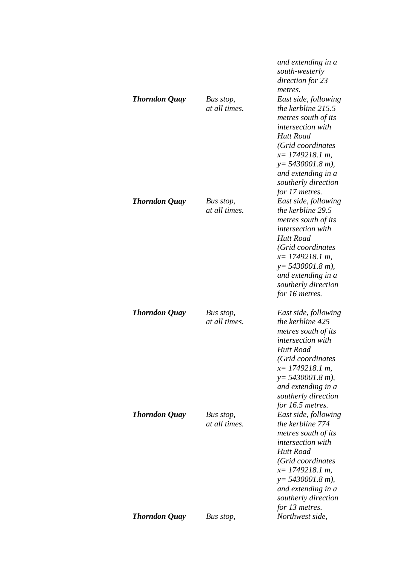| <b>Thorndon Quay</b> | Bus stop,<br>at all times. | and extending in a<br>south-westerly<br>direction for 23<br>metres.<br>East side, following<br>the kerbline 215.5<br>metres south of its<br><i>intersection</i> with<br><b>Hutt Road</b><br>(Grid coordinates<br>$x=$ 1749218.1 m,<br>$y = 5430001.8$ m),<br>and extending in a<br>southerly direction<br>for 17 metres. |
|----------------------|----------------------------|--------------------------------------------------------------------------------------------------------------------------------------------------------------------------------------------------------------------------------------------------------------------------------------------------------------------------|
| <b>Thorndon Quay</b> | Bus stop,<br>at all times. | East side, following<br>the kerbline 29.5<br>metres south of its<br>intersection with<br><b>Hutt Road</b><br>(Grid coordinates<br>$x=$ 1749218.1 m,<br>$y = 5430001.8$ m),<br>and extending in a<br>southerly direction<br>for 16 metres.                                                                                |
| <b>Thorndon Quay</b> | Bus stop,<br>at all times. | East side, following<br>the kerbline 425<br>metres south of its<br>intersection with<br><b>Hutt Road</b><br>(Grid coordinates<br>$x=$ 1749218.1 m,<br>$y = 5430001.8$ m),<br>and extending in a<br>southerly direction<br>for 16.5 metres.                                                                               |
| <b>Thorndon Quay</b> | Bus stop,<br>at all times. | East side, following<br>the kerbline 774<br>metres south of its<br><i>intersection with</i><br><b>Hutt Road</b><br>(Grid coordinates<br>$x=$ 1749218.1 m,<br>$y = 5430001.8$ m),<br>and extending in a<br>southerly direction<br>for 13 metres.                                                                          |
| <b>Thorndon Quay</b> | Bus stop,                  | Northwest side,                                                                                                                                                                                                                                                                                                          |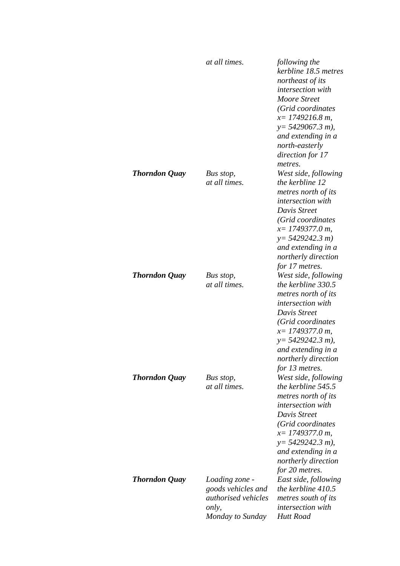|                      | at all times.                                                                                   | following the<br>kerbline 18.5 metres<br>northeast of its<br>intersection with<br>Moore Street<br>(Grid coordinates<br>$x=1749216.8 m$ ,<br>$y = 5429067.3 m$ ,<br>and extending in a<br>north-easterly<br>direction for 17<br>metres.       |
|----------------------|-------------------------------------------------------------------------------------------------|----------------------------------------------------------------------------------------------------------------------------------------------------------------------------------------------------------------------------------------------|
| <b>Thorndon Quay</b> | Bus stop,<br>at all times.                                                                      | West side, following<br>the kerbline 12<br>metres north of its<br><i>intersection with</i><br>Davis Street<br>(Grid coordinates<br>$x=$ 1749377.0 m,<br>$y=5429242.3 m$<br>and extending in a<br>northerly direction<br>for 17 metres.       |
| <b>Thorndon Quay</b> | Bus stop,<br>at all times.                                                                      | West side, following<br>the kerbline 330.5<br>metres north of its<br><i>intersection with</i><br>Davis Street<br>(Grid coordinates<br>$x=$ 1749377.0 m,<br>$y=$ 5429242.3 m),<br>and extending in a<br>northerly direction<br>for 13 metres. |
| <b>Thorndon Quay</b> | Bus stop,<br>at all times.                                                                      | West side, following<br>the kerbline 545.5<br>metres north of its<br><i>intersection with</i><br>Davis Street<br>(Grid coordinates<br>$x=$ 1749377.0 m,<br>$y=$ 5429242.3 m),<br>and extending in a<br>northerly direction<br>for 20 metres. |
| <b>Thorndon Quay</b> | Loading zone -<br>goods vehicles and<br><i>authorised vehicles</i><br>only,<br>Monday to Sunday | East side, following<br>the kerbline $410.5$<br>metres south of its<br><i>intersection with</i><br>Hutt Road                                                                                                                                 |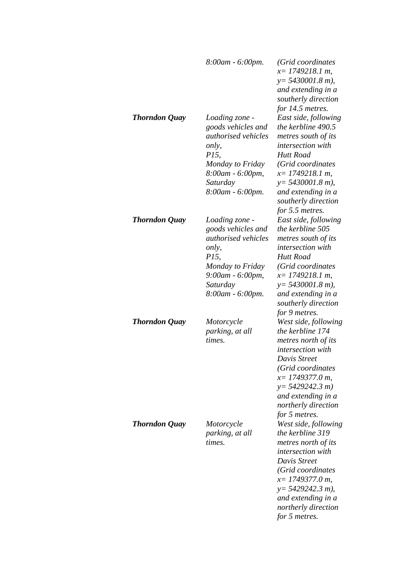|                      | 8:00am - 6:00pm.                                                                                                                                             | (Grid coordinates<br>$x=$ 1749218.1 m,<br>$y = 5430001.8$ m),<br>and extending in a<br>southerly direction                                                                                                                                                             |
|----------------------|--------------------------------------------------------------------------------------------------------------------------------------------------------------|------------------------------------------------------------------------------------------------------------------------------------------------------------------------------------------------------------------------------------------------------------------------|
| Thorndon Quay        | Loading zone -<br>goods vehicles and<br>authorised vehicles<br>only,<br><i>P15,</i><br>Monday to Friday<br>8:00am - 6:00pm,<br>Saturday<br>8:00am - 6:00pm.  | for 14.5 metres.<br>East side, following<br>the kerbline 490.5<br>metres south of its<br><i>intersection with</i><br><b>Hutt Road</b><br>(Grid coordinates<br>$x=$ 1749218.1 m,<br>$y = 5430001.8$ m),<br>and extending in a<br>southerly direction<br>for 5.5 metres. |
| <b>Thorndon Quay</b> | Loading zone -<br>goods vehicles and<br>authorised vehicles<br>only,<br><i>P15</i> ,<br>Monday to Friday<br>9:00am - 6:00pm,<br>Saturday<br>8:00am - 6:00pm. | East side, following<br>the kerbline 505<br>metres south of its<br>intersection with<br><b>Hutt Road</b><br>(Grid coordinates<br>$x=$ 1749218.1 m,<br>$y = 5430001.8$ m),<br>and extending in a<br>southerly direction<br>for 9 metres.                                |
| <b>Thorndon Quay</b> | Motorcycle<br>parking, at all<br>times.                                                                                                                      | West side, following<br>the kerbline 174<br>metres north of its<br><i>intersection with</i><br>Davis Street<br>(Grid coordinates<br>$x=$ 1749377.0 m,<br>$y=5429242.3 m$<br>and extending in a<br>northerly direction<br>for 5 metres.                                 |
| <b>Thorndon Quay</b> | Motorcycle<br>parking, at all<br>times.                                                                                                                      | West side, following<br>the kerbline 319<br>metres north of its<br><i>intersection with</i><br>Davis Street<br>(Grid coordinates<br>$x=$ 1749377.0 m,<br>$y = 5429242.3 m$ ),<br>and extending in a<br>northerly direction<br>for 5 metres.                            |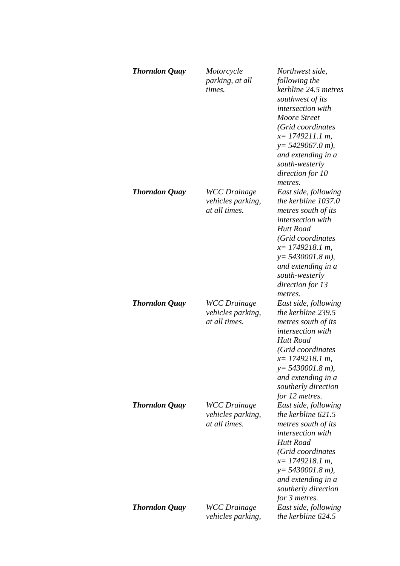| <b>Thorndon Quay</b> | Motorcycle<br>parking, at all<br>times.                          | Northwest side,<br>following the<br>kerbline 24.5 metres<br>southwest of its<br><i>intersection with</i><br>Moore Street<br>(Grid coordinates<br>$x=$ 1749211.1 m,<br>$y = 5429067.0 m$ ,<br>and extending in a<br>south-westerly<br>direction for 10<br>metres. |
|----------------------|------------------------------------------------------------------|------------------------------------------------------------------------------------------------------------------------------------------------------------------------------------------------------------------------------------------------------------------|
| <b>Thorndon Quay</b> | <b>WCC</b> Drainage<br><i>vehicles parking,</i><br>at all times. | East side, following<br>the kerbline 1037.0<br>metres south of its<br><i>intersection with</i><br>Hutt Road<br>(Grid coordinates<br>$x=$ 1749218.1 m,<br>$y = 5430001.8$ m),<br>and extending in a<br>south-westerly<br>direction for 13<br>metres.              |
| <b>Thorndon Quay</b> | <b>WCC</b> Drainage<br><i>vehicles parking,</i><br>at all times. | East side, following<br>the kerbline 239.5<br>metres south of its<br>intersection with<br>Hutt Road<br>(Grid coordinates<br>$x=1749218.1 m$ ,<br>$y = 5430001.8$ m),<br>and extending in a<br>southerly direction<br>for 12 metres.                              |
| <b>Thorndon Quay</b> | <b>WCC</b> Drainage<br><i>vehicles parking,</i><br>at all times. | East side, following<br>the kerbline $621.5$<br>metres south of its<br><i>intersection with</i><br><b>Hutt Road</b><br>(Grid coordinates<br>$x=$ 1749218.1 m,<br>$y = 5430001.8$ m),<br>and extending in a<br>southerly direction<br>for 3 metres.               |
| <b>Thorndon Quay</b> | <b>WCC</b> Drainage<br><i>vehicles parking,</i>                  | East side, following<br>the kerbline $624.5$                                                                                                                                                                                                                     |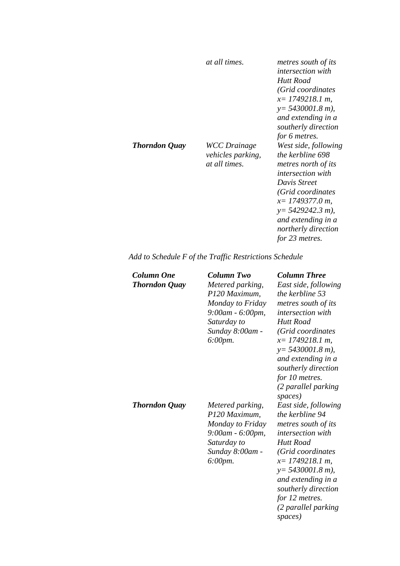|                      | at all times.                                                    | metres south of its<br><i>intersection with</i><br>Hutt Road<br>(Grid coordinates<br>$x=$ 1749218.1 m,<br>$y = 5430001.8$ m),<br>and extending in a<br>southerly direction<br>for 6 metres.                                              |
|----------------------|------------------------------------------------------------------|------------------------------------------------------------------------------------------------------------------------------------------------------------------------------------------------------------------------------------------|
| <b>Thorndon Quay</b> | <b>WCC</b> Drainage<br><i>vehicles parking,</i><br>at all times. | West side, following<br>the kerbline 698<br>metres north of its<br><i>intersection with</i><br>Davis Street<br>(Grid coordinates<br>$x=1749377.0 m$<br>$y=$ 5429242.3 m),<br>and extending in a<br>northerly direction<br>for 23 metres. |

*Add to Schedule F of the Traffic Restrictions Schedule* 

| Column One<br><b>Thorndon Quay</b> | Column Two<br>Metered parking,<br>P120 Maximum,<br>Monday to Friday<br>$9:00$ am - 6:00pm,<br>Saturday to<br>Sunday 8:00am -<br>$6:00 \, \text{pm}.$ | <b>Column Three</b><br>East side, following<br>the kerbline 53<br>metres south of its<br>intersection with<br>Hutt Road<br>(Grid coordinates<br>$x=$ 1749218.1 m,<br>$y = 5430001.8$ m),<br>and extending in a<br>southerly direction<br>for 10 metres.<br>(2 parallel parking<br>spaces) |
|------------------------------------|------------------------------------------------------------------------------------------------------------------------------------------------------|-------------------------------------------------------------------------------------------------------------------------------------------------------------------------------------------------------------------------------------------------------------------------------------------|
| <b>Thorndon Quay</b>               | Metered parking,<br>P120 Maximum,<br>Monday to Friday<br>9:00am - 6:00pm,<br>Saturday to<br>Sunday 8:00am -<br>6:00pm.                               | East side, following<br>the kerbline 94<br>metres south of its<br><i>intersection with</i><br>Hutt Road<br>(Grid coordinates<br>$x=$ 1749218.1 m,<br>$y = 5430001.8$ m),<br>and extending in a<br>southerly direction<br>for 12 metres.<br>(2 parallel parking<br>spaces)                 |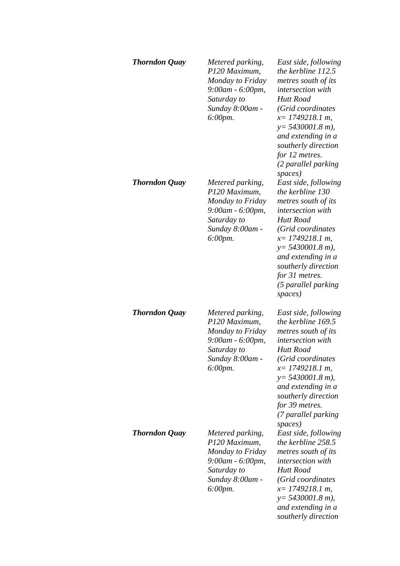| <b>Thorndon Quay</b> | Metered parking,<br>P120 Maximum,<br>Monday to Friday<br>9:00am - 6:00pm,<br>Saturday to<br>Sunday 8:00am -<br>$6:00 \, \text{pm}.$ | East side, following<br>the kerbline 112.5<br>metres south of its<br><i>intersection with</i><br>Hutt Road<br>(Grid coordinates<br>$x=$ 1749218.1 m,<br>$y = 5430001.8$ m),<br>and extending in a<br>southerly direction<br>for 12 metres.<br>(2 parallel parking<br>spaces) |
|----------------------|-------------------------------------------------------------------------------------------------------------------------------------|------------------------------------------------------------------------------------------------------------------------------------------------------------------------------------------------------------------------------------------------------------------------------|
| <b>Thorndon Quay</b> | Metered parking,<br>P120 Maximum,<br>Monday to Friday<br>9:00am - 6:00pm,<br>Saturday to<br>Sunday 8:00am -<br>6:00pm.              | East side, following<br>the kerbline 130<br>metres south of its<br>intersection with<br><b>Hutt Road</b><br>(Grid coordinates<br>$x=$ 1749218.1 m,<br>$y = 5430001.8$ m),<br>and extending in a<br>southerly direction<br>for 31 metres.<br>(5 parallel parking<br>spaces)   |
| <b>Thorndon Quay</b> | Metered parking,<br>P120 Maximum,<br>Monday to Friday<br>9:00am - 6:00pm,<br>Saturday to<br>Sunday 8:00am -<br>$6:00$ pm.           | East side, following<br>the kerbline 169.5<br>metres south of its<br>intersection with<br>Hutt Road<br>(Grid coordinates<br>$x=$ 1749218.1 m,<br>$y = 5430001.8$ m),<br>and extending in a<br>southerly direction<br>for 39 metres.<br>(7 parallel parking<br>spaces)        |
| <b>Thorndon Quay</b> | Metered parking,<br>P120 Maximum,<br>Monday to Friday<br>9:00am - 6:00pm,<br>Saturday to<br>Sunday 8:00am -<br>$6:00$ pm.           | East side, following<br>the kerbline 258.5<br>metres south of its<br><i>intersection with</i><br><b>Hutt Road</b><br>(Grid coordinates<br>$x=$ 1749218.1 m,<br>$y = 5430001.8$ m),<br>and extending in a<br>southerly direction                                              |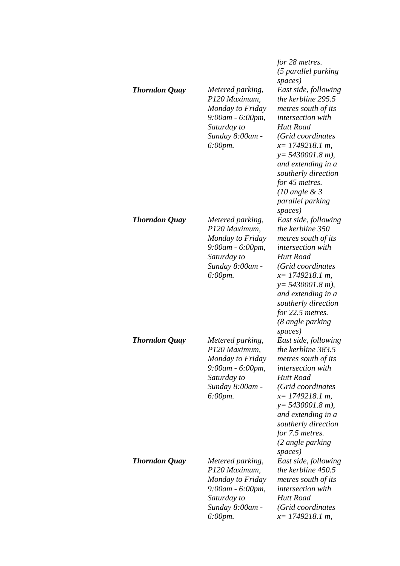| <b>Thorndon Quay</b> | Metered parking,<br>P120 Maximum,                                                                                                     | for 28 metres.<br>(5 parallel parking<br>spaces)<br>East side, following<br>the kerbline 295.5                                                                                                                                                                                    |
|----------------------|---------------------------------------------------------------------------------------------------------------------------------------|-----------------------------------------------------------------------------------------------------------------------------------------------------------------------------------------------------------------------------------------------------------------------------------|
|                      | Monday to Friday<br>9:00am - 6:00pm,<br>Saturday to<br>Sunday 8:00am -<br>$6:00$ pm.                                                  | metres south of its<br><i>intersection</i> with<br><b>Hutt Road</b><br>(Grid coordinates<br>$x=$ 1749218.1 m,<br>$y = 5430001.8$ m),<br>and extending in a<br>southerly direction<br>for 45 metres.<br>$(10 \text{ angle } \& 3)$<br>parallel parking<br>spaces)                  |
| <b>Thorndon Quay</b> | Metered parking,<br>P120 Maximum,<br>Monday to Friday<br>9:00am - 6:00pm,<br>Saturday to<br>Sunday 8:00am -<br>$6:00$ pm.             | East side, following<br>the kerbline 350<br>metres south of its<br><i>intersection with</i><br>Hutt Road<br>(Grid coordinates<br>$x=1749218.1 m$ ,<br>$y = 5430001.8$ m),<br>and extending in a<br>southerly direction<br>for 22.5 metres.<br>(8 angle parking<br>spaces)         |
| <b>Thorndon Quay</b> | Metered parking,<br>P120 Maximum,<br>Monday to Friday<br>$9:00am - 6:00pm,$<br>Saturday to<br>Sunday 8:00am -<br>$6:00 \, \text{pm}.$ | East side, following<br>the kerbline 383.5<br>metres south of its<br><i>intersection</i> with<br><b>Hutt Road</b><br>(Grid coordinates<br>$x=$ 1749218.1 m,<br>$y = 5430001.8$ m),<br>and extending in a<br>southerly direction<br>for 7.5 metres.<br>(2 angle parking<br>spaces) |
| <b>Thorndon Quay</b> | Metered parking,<br>P120 Maximum,<br>Monday to Friday<br>9:00am - 6:00pm,<br>Saturday to<br>Sunday 8:00am -<br>$6:00 \, \text{pm}.$   | East side, following<br>the kerbline 450.5<br>metres south of its<br><i>intersection with</i><br>Hutt Road<br>(Grid coordinates<br>$x=$ 1749218.1 m,                                                                                                                              |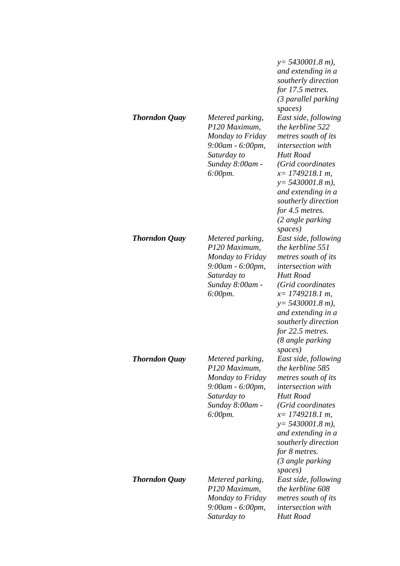| <b>Thorndon Quay</b> | Metered parking,<br>P120 Maximum,<br>Monday to Friday<br>9:00am - 6:00pm,<br>Saturday to<br>Sunday 8:00am -<br>$6:00 \, \text{pm}.$ | $y = 5430001.8$ m),<br>and extending in a<br>southerly direction<br>for 17.5 metres.<br>(3 parallel parking<br>spaces)<br>East side, following<br>the kerbline 522<br>metres south of its<br><i>intersection with</i><br><b>Hutt Road</b><br>(Grid coordinates<br>$x=$ 1749218.1 m,<br>$y = 5430001.8$ m),<br>and extending in a<br>southerly direction<br>for 4.5 metres.<br>(2 angle parking<br>spaces) |
|----------------------|-------------------------------------------------------------------------------------------------------------------------------------|-----------------------------------------------------------------------------------------------------------------------------------------------------------------------------------------------------------------------------------------------------------------------------------------------------------------------------------------------------------------------------------------------------------|
| <b>Thorndon Quay</b> | Metered parking,<br>P120 Maximum,<br>Monday to Friday<br>9:00am - 6:00pm,<br>Saturday to<br>Sunday 8:00am -<br>6:00pm.              | East side, following<br>the kerbline 551<br>metres south of its<br>intersection with<br><b>Hutt Road</b><br>(Grid coordinates<br>$x=1749218.1 m$ ,<br>$y = 5430001.8$ m),<br>and extending in a<br>southerly direction<br>for 22.5 metres.<br>(8 angle parking<br>spaces)                                                                                                                                 |
| <b>Thorndon Quay</b> | Metered parking,<br>P120 Maximum,<br>Monday to Friday<br>9:00am - 6:00pm,<br>Saturday to<br>Sunday 8:00am -<br>$6:00 \, \text{pm}.$ | East side, following<br>the kerbline 585<br>metres south of its<br><i>intersection</i> with<br><b>Hutt Road</b><br>(Grid coordinates<br>$x=$ 1749218.1 m,<br>$y = 5430001.8$ m),<br>and extending in a<br>southerly direction<br>for 8 metres.<br>(3 angle parking<br>spaces)                                                                                                                             |
| <b>Thorndon Quay</b> | Metered parking,<br>P120 Maximum,<br>Monday to Friday<br>9:00am - 6:00pm,<br>Saturday to                                            | East side, following<br>the kerbline 608<br>metres south of its<br><i>intersection with</i><br><b>Hutt Road</b>                                                                                                                                                                                                                                                                                           |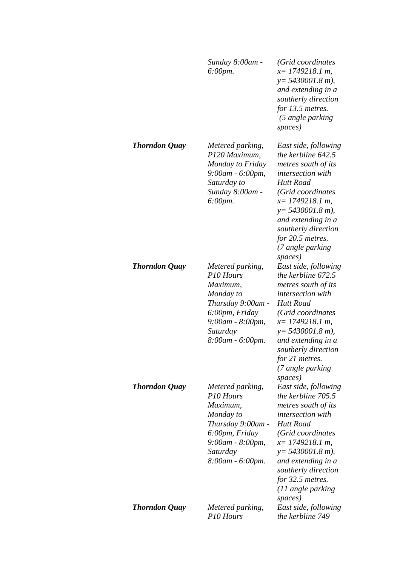|                      | Sunday 8:00am -<br>6:00pm.                                                                                                                        | (Grid coordinates<br>$x=$ 1749218.1 m,<br>$y = 5430001.8$ m),<br>and extending in a<br>southerly direction<br>for 13.5 metres.<br>(5 angle parking<br>spaces)                                                                                                                       |
|----------------------|---------------------------------------------------------------------------------------------------------------------------------------------------|-------------------------------------------------------------------------------------------------------------------------------------------------------------------------------------------------------------------------------------------------------------------------------------|
| <b>Thorndon Quay</b> | Metered parking,<br>P120 Maximum,<br>Monday to Friday<br>9:00am - 6:00pm,<br>Saturday to<br>Sunday 8:00am -<br>6:00pm.                            | East side, following<br>the kerbline 642.5<br>metres south of its<br><i>intersection with</i><br>Hutt Road<br>(Grid coordinates<br>$x=$ 1749218.1 m,<br>$y = 5430001.8 m$ ),<br>and extending in a<br>southerly direction<br>for 20.5 metres.<br>(7 angle parking<br>spaces)        |
| <b>Thorndon Quay</b> | Metered parking,<br>P10 Hours<br>Maximum,<br>Monday to<br>Thursday 9:00am -<br>6:00pm, Friday<br>9:00am - 8:00pm,<br>Saturday<br>8:00am - 6:00pm. | East side, following<br>the kerbline 672.5<br>metres south of its<br><i>intersection with</i><br>Hutt Road<br>(Grid coordinates<br>$x=$ 1749218.1 m,<br>$y = 5430001.8$ m),<br>and extending in a<br>southerly direction<br>for 21 metres.<br>(7 angle parking                      |
| <b>Thorndon Quay</b> | Metered parking,<br>P10 Hours<br>Maximum,<br>Monday to<br>Thursday 9:00am -<br>6:00pm, Friday<br>9:00am - 8:00pm,<br>Saturday<br>8:00am - 6:00pm. | spaces)<br>East side, following<br>the kerbline 705.5<br>metres south of its<br><i>intersection with</i><br><b>Hutt Road</b><br>(Grid coordinates<br>$x=$ 1749218.1 m,<br>$y = 5430001.8$ m),<br>and extending in a<br>southerly direction<br>for 32.5 metres.<br>(11 angle parking |
| <b>Thorndon Quay</b> | Metered parking,<br>P10 Hours                                                                                                                     | spaces)<br>East side, following<br>the kerbline 749                                                                                                                                                                                                                                 |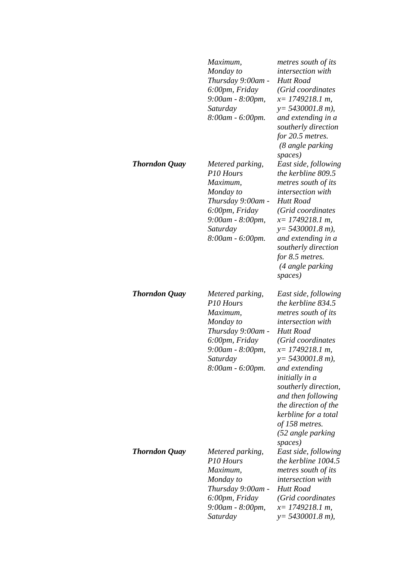|               | Maximum,<br>Monday to<br>Thursday 9:00am -<br>6:00pm, Friday<br>9:00am - 8:00pm,<br>Saturday<br>8:00am - 6:00pm.                                              | metres south of its<br>intersection with<br><b>Hutt Road</b><br>(Grid coordinates<br>$x=$ 1749218.1 m,<br>$y = 5430001.8$ m),<br>and extending in a<br>southerly direction<br>for 20.5 metres.<br>(8 angle parking                                                                                                                                                     |
|---------------|---------------------------------------------------------------------------------------------------------------------------------------------------------------|------------------------------------------------------------------------------------------------------------------------------------------------------------------------------------------------------------------------------------------------------------------------------------------------------------------------------------------------------------------------|
| Thorndon Quay | Metered parking,<br>P10 Hours<br>Maximum,<br>Monday to<br>Thursday 9:00am -<br>6:00pm, Friday<br>9:00am - 8:00pm,<br>Saturday<br>8:00am - 6:00pm.             | spaces)<br>East side, following<br>the kerbline 809.5<br>metres south of its<br><i>intersection</i> with<br>Hutt Road<br>(Grid coordinates<br>$x=$ 1749218.1 m,<br>$y = 5430001.8$ m),<br>and extending in a<br>southerly direction<br>for 8.5 metres.<br>(4 angle parking<br>spaces)                                                                                  |
| Thorndon Quay | Metered parking,<br>P <sub>10</sub> Hours<br>Maximum,<br>Monday to<br>Thursday 9:00am -<br>6:00pm, Friday<br>9:00am - 8:00pm,<br>Saturday<br>8:00am - 6:00pm. | East side, following<br>the kerbline 834.5<br>metres south of its<br>intersection with<br><b>Hutt Road</b><br>(Grid coordinates<br>$x=$ 1749218.1 m,<br>$y = 5430001.8 m$ ),<br>and extending<br><i>initially in a</i><br>southerly direction,<br>and then following<br>the direction of the<br>kerbline for a total<br>of 158 metres.<br>(52 angle parking<br>spaces) |
| Thorndon Quay | Metered parking,<br>P10 Hours<br>Maximum,<br>Monday to<br>Thursday 9:00am -<br>6:00pm, Friday<br>9:00am - 8:00pm,<br>Saturday                                 | East side, following<br>the kerbline 1004.5<br>metres south of its<br><i>intersection with</i><br>Hutt Road<br>(Grid coordinates<br>$x=$ 1749218.1 m,<br>$y = 5430001.8$ m),                                                                                                                                                                                           |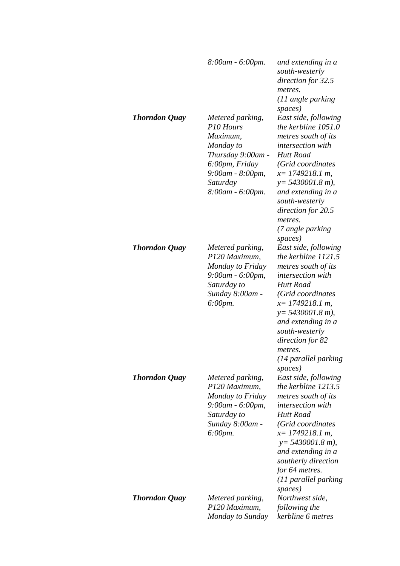|                      | 8:00am - 6:00pm.                                                                                                                                              | and extending in a<br>south-westerly<br>direction for 32.5<br>metres.<br>(11 angle parking<br>spaces)                                                                                                                                                                                  |
|----------------------|---------------------------------------------------------------------------------------------------------------------------------------------------------------|----------------------------------------------------------------------------------------------------------------------------------------------------------------------------------------------------------------------------------------------------------------------------------------|
| <b>Thorndon Quay</b> | Metered parking,<br>P <sub>10</sub> Hours<br>Maximum,<br>Monday to<br>Thursday 9:00am -<br>6:00pm, Friday<br>9:00am - 8:00pm,<br>Saturday<br>8:00am - 6:00pm. | East side, following<br>the kerbline 1051.0<br>metres south of its<br>intersection with<br><b>Hutt Road</b><br>(Grid coordinates<br>$x=$ 1749218.1 m,<br>$y = 5430001.8$ m),<br>and extending in a<br>south-westerly<br>direction for 20.5<br>metres.<br>(7 angle parking<br>spaces)   |
| <b>Thorndon Quay</b> | Metered parking,<br>P120 Maximum,<br>Monday to Friday<br>9:00am - 6:00pm,<br>Saturday to<br>Sunday 8:00am -<br>$6:00$ pm.                                     | East side, following<br>the kerbline 1121.5<br>metres south of its<br><i>intersection with</i><br>Hutt Road<br>(Grid coordinates<br>$x=$ 1749218.1 m,<br>$y = 5430001.8$ m),<br>and extending in a<br>south-westerly<br>direction for 82<br>metres.<br>(14 parallel parking<br>spaces) |
| <b>Thorndon Quay</b> | Metered parking,<br>P120 Maximum,<br>Monday to Friday<br>9:00am - 6:00pm,<br>Saturday to<br>Sunday 8:00am -<br>6:00pm.                                        | East side, following<br>the kerbline 1213.5<br>metres south of its<br><i>intersection with</i><br>Hutt Road<br>(Grid coordinates<br>$x=$ 1749218.1 m,<br>$y = 5430001.8$ m),<br>and extending in a<br>southerly direction<br>for 64 metres.<br>(11 parallel parking<br>spaces)         |
| <b>Thorndon Quay</b> | Metered parking,<br>P120 Maximum,<br>Monday to Sunday                                                                                                         | Northwest side,<br>following the<br>kerbline 6 metres                                                                                                                                                                                                                                  |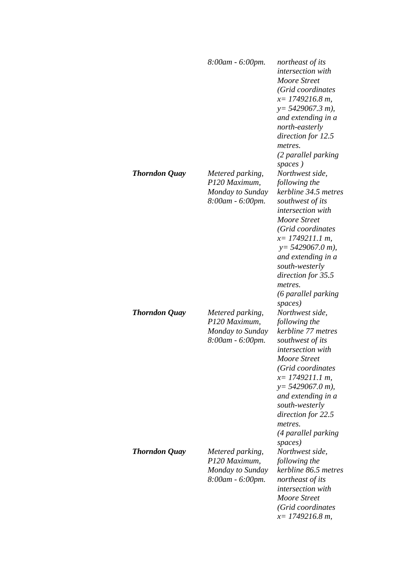|                      | 8:00am - 6:00pm.                                                          | northeast of its<br><i>intersection with</i><br>Moore Street<br>(Grid coordinates<br>$x=1749216.8 m$ ,<br>$y = 5429067.3 m$ ),<br>and extending in a<br>north-easterly<br>direction for 12.5<br>metres.<br>(2 parallel parking                                                                                   |
|----------------------|---------------------------------------------------------------------------|------------------------------------------------------------------------------------------------------------------------------------------------------------------------------------------------------------------------------------------------------------------------------------------------------------------|
| <b>Thorndon Quay</b> | Metered parking,<br>P120 Maximum,<br>Monday to Sunday<br>8:00am - 6:00pm. | spaces)<br>Northwest side,<br>following the<br>kerbline 34.5 metres<br>southwest of its<br><i>intersection with</i><br>Moore Street<br>(Grid coordinates<br>$x=$ 1749211.1 m,<br>$y = 5429067.0 m$ ),<br>and extending in a<br>south-westerly<br>direction for 35.5<br>metres.<br>(6 parallel parking<br>spaces) |
| <b>Thorndon Quay</b> | Metered parking,<br>P120 Maximum,<br>Monday to Sunday<br>8:00am - 6:00pm. | Northwest side,<br>following the<br>kerbline 77 metres<br>southwest of its<br><i>intersection with</i><br><b>Moore Street</b><br>(Grid coordinates<br>$x=$ 1749211.1 m,<br>$y = 5429067.0 m$ ),<br>and extending in a<br>south-westerly<br>direction for 22.5<br>metres.<br>(4 parallel parking<br>spaces)       |
| <b>Thorndon Quay</b> | Metered parking,<br>P120 Maximum,<br>Monday to Sunday<br>8:00am - 6:00pm. | Northwest side,<br>following the<br>kerbline 86.5 metres<br>northeast of its<br>intersection with<br><b>Moore Street</b><br>(Grid coordinates<br>$x=1749216.8 m$ ,                                                                                                                                               |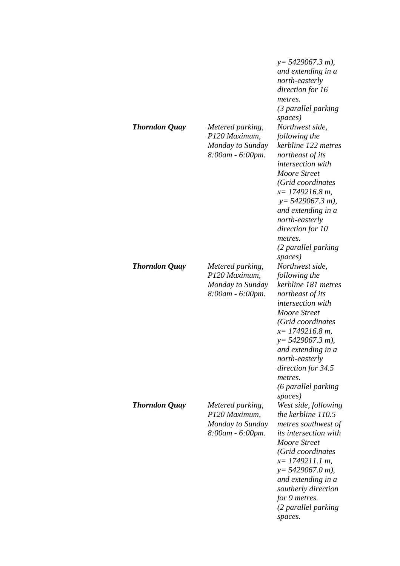| <b>Thorndon Quay</b> | Metered parking,<br>P120 Maximum,<br>Monday to Sunday<br>8:00am - 6:00pm. | $y = 5429067.3 m$ ),<br>and extending in a<br>north-easterly<br>direction for 16<br>metres.<br>(3 parallel parking<br>spaces)<br>Northwest side,<br>following the<br>kerbline 122 metres<br>northeast of its<br><i>intersection</i> with<br>Moore Street<br>(Grid coordinates<br>$x=1749216.8 m$ ,<br>$y = 5429067.3 m$ ,<br>and extending in a<br>north-easterly<br>direction for 10<br>metres.<br>(2 parallel parking<br>spaces) |
|----------------------|---------------------------------------------------------------------------|------------------------------------------------------------------------------------------------------------------------------------------------------------------------------------------------------------------------------------------------------------------------------------------------------------------------------------------------------------------------------------------------------------------------------------|
| <b>Thorndon Quay</b> | Metered parking,<br>P120 Maximum,<br>Monday to Sunday<br>8:00am - 6:00pm. | Northwest side,<br>following the<br>kerbline 181 metres<br>northeast of its<br>intersection with<br>Moore Street<br>(Grid coordinates<br>$x=1749216.8 m$ ,<br>$y = 5429067.3 m$ ),<br>and extending in a<br>north-easterly<br>direction for 34.5<br>metres.<br>(6 parallel parking<br>spaces)                                                                                                                                      |
| <b>Thorndon Quay</b> | Metered parking,<br>P120 Maximum,<br>Monday to Sunday<br>8:00am - 6:00pm. | West side, following<br>the kerbline 110.5<br>metres southwest of<br><i>its intersection with</i><br>Moore Street<br>(Grid coordinates<br>$x=$ 1749211.1 m,<br>$y = 5429067.0 m$ ,<br>and extending in a<br>southerly direction<br>for 9 metres.<br>(2 parallel parking<br>spaces.                                                                                                                                                 |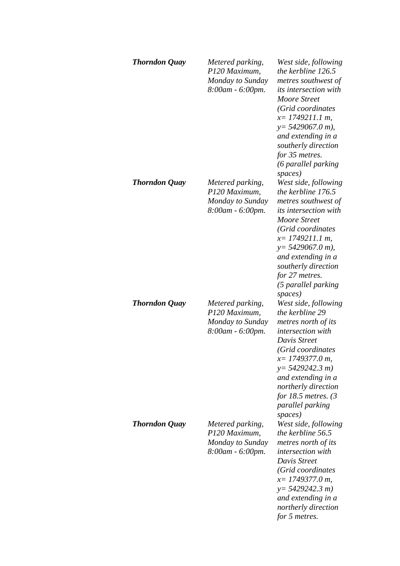| <b>Thorndon Quay</b> | Metered parking,<br>P120 Maximum,<br>Monday to Sunday<br>8:00am - 6:00pm. | West side, following<br>the kerbline 126.5<br>metres southwest of<br><i>its intersection with</i><br>Moore Street<br>(Grid coordinates<br>$x=1749211.1 m$ ,<br>$y = 5429067.0 m$ ,<br>and extending in a<br>southerly direction<br>for 35 metres.<br>(6 parallel parking<br>spaces)        |
|----------------------|---------------------------------------------------------------------------|--------------------------------------------------------------------------------------------------------------------------------------------------------------------------------------------------------------------------------------------------------------------------------------------|
| <b>Thorndon Quay</b> | Metered parking,<br>P120 Maximum,<br>Monday to Sunday<br>8:00am - 6:00pm. | West side, following<br>the kerbline 176.5<br>metres southwest of<br><i>its intersection with</i><br><b>Moore Street</b><br>(Grid coordinates<br>$x=$ 1749211.1 m,<br>$y = 5429067.0 m$ ,<br>and extending in a<br>southerly direction<br>for 27 metres.<br>(5 parallel parking<br>spaces) |
| <b>Thorndon Quay</b> | Metered parking,<br>P120 Maximum,<br>Monday to Sunday<br>8:00am - 6:00pm. | West side, following<br>the kerbline 29<br>metres north of its<br>intersection with<br>Davis Street<br>(Grid coordinates<br>$x=1749377.0 m$ ,<br>$y = 5429242.3 m$<br>and extending in a<br>northerly direction<br>for 18.5 metres. $(3)$<br>parallel parking<br>spaces)                   |
| <b>Thorndon Quay</b> | Metered parking,<br>P120 Maximum,<br>Monday to Sunday<br>8:00am - 6:00pm. | West side, following<br>the kerbline 56.5<br>metres north of its<br><i>intersection with</i><br>Davis Street<br>(Grid coordinates<br>$x=$ 1749377.0 m,<br>$y=5429242.3 m$<br>and extending in a<br>northerly direction<br>for 5 metres.                                                    |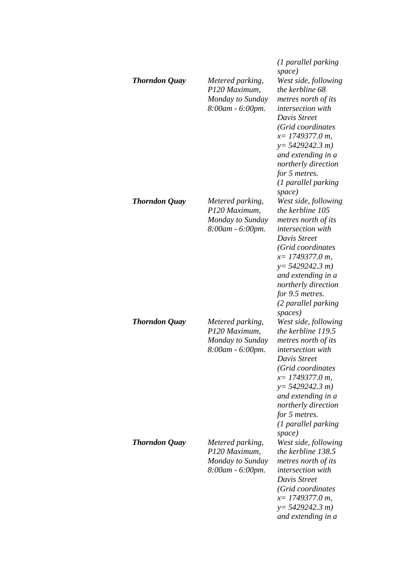| <b>Thorndon Quay</b> | Metered parking,<br>P120 Maximum,<br>Monday to Sunday<br>8:00am - 6:00pm. | (1 parallel parking<br>space)<br>West side, following<br>the kerbline 68<br>metres north of its<br><i>intersection with</i><br>Davis Street<br>(Grid coordinates<br>$x=$ 1749377.0 m,<br>$y=5429242.3 m$<br>and extending in a<br>northerly direction<br>for 5 metres.<br>(1 parallel parking<br>space) |
|----------------------|---------------------------------------------------------------------------|---------------------------------------------------------------------------------------------------------------------------------------------------------------------------------------------------------------------------------------------------------------------------------------------------------|
| <b>Thorndon Quay</b> | Metered parking,<br>P120 Maximum,<br>Monday to Sunday<br>8:00am - 6:00pm. | West side, following<br>the kerbline 105<br>metres north of its<br>intersection with<br>Davis Street<br>(Grid coordinates<br>$x=$ 1749377.0 m,<br>$y=5429242.3 m$<br>and extending in a<br>northerly direction<br>for 9.5 metres.<br>(2 parallel parking<br>spaces)                                     |
| <b>Thorndon Quay</b> | Metered parking,<br>P120 Maximum,<br>Monday to Sunday<br>8:00am - 6:00pm. | West side, following<br>the kerbline 119.5<br>metres north of its<br>intersection with<br>Davis Street<br>(Grid coordinates<br>$x=$ 1749377.0 m,<br>$y = 5429242.3 m$<br>and extending in a<br>northerly direction<br>for 5 metres.<br>(1 parallel parking)<br>space)                                   |
| <b>Thorndon Quay</b> | Metered parking,<br>P120 Maximum,<br>Monday to Sunday<br>8:00am - 6:00pm. | West side, following<br>the kerbline 138.5<br>metres north of its<br><i>intersection with</i><br>Davis Street<br>(Grid coordinates<br>$x=$ 1749377.0 m,<br>$y=5429242.3 m$<br>and extending in a                                                                                                        |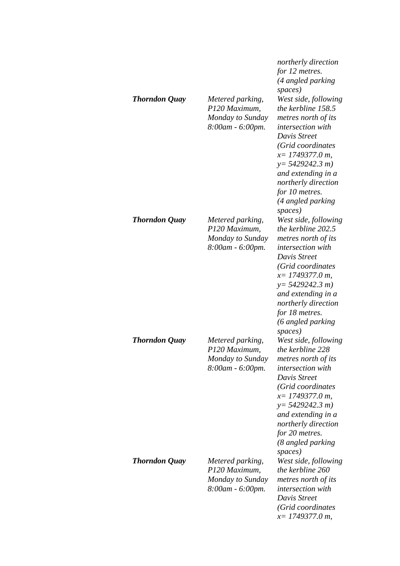| <b>Thorndon Quay</b> | Metered parking,<br>P120 Maximum,<br>Monday to Sunday<br>8:00am - 6:00pm.    | northerly direction<br>for 12 metres.<br>(4 angled parking<br>spaces)<br>West side, following<br>the kerbline 158.5<br>metres north of its<br>intersection with<br>Davis Street<br>(Grid coordinates<br>$x=$ 1749377.0 m,<br>$y=5429242.3 m$<br>and extending in a<br>northerly direction<br>for 10 metres.<br>(4 angled parking |
|----------------------|------------------------------------------------------------------------------|----------------------------------------------------------------------------------------------------------------------------------------------------------------------------------------------------------------------------------------------------------------------------------------------------------------------------------|
| <b>Thorndon Quay</b> | Metered parking,<br>P120 Maximum,<br>Monday to Sunday<br>8:00am - 6:00pm.    | spaces)<br>West side, following<br>the kerbline 202.5<br>metres north of its<br><i>intersection with</i><br>Davis Street<br>(Grid coordinates<br>$x=$ 1749377.0 m,<br>$y=5429242.3 m$<br>and extending in a<br>northerly direction<br>for 18 metres.<br>(6 angled parking<br>spaces)                                             |
| <b>Thorndon Quay</b> | Metered parking,<br>P120 Maximum,<br>Monday to Sunday<br>$8:00$ am - 6:00pm. | West side, following<br>the kerbline 228<br>metres north of its<br><i>intersection</i> with<br>Davis Street<br>(Grid coordinates<br>$x=$ 1749377.0 m,<br>$y=5429242.3 m$<br>and extending in a<br>northerly direction<br>for 20 metres.<br>(8 angled parking<br>spaces)                                                          |
| <b>Thorndon Quay</b> | Metered parking,<br>P120 Maximum,<br>Monday to Sunday<br>8:00am - 6:00pm.    | West side, following<br>the kerbline 260<br>metres north of its<br>intersection with<br>Davis Street<br>(Grid coordinates<br>$x=$ 1749377.0 m,                                                                                                                                                                                   |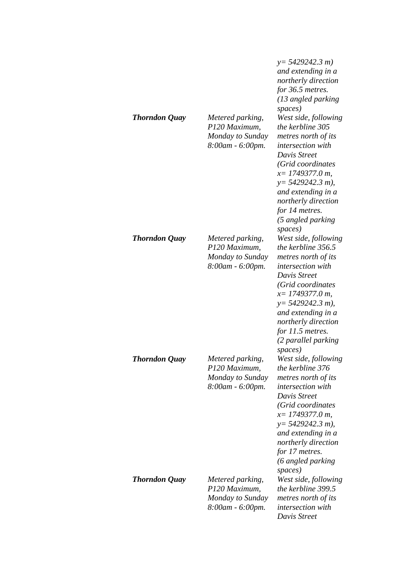| <b>Thorndon Quay</b> | Metered parking,<br>P120 Maximum,<br>Monday to Sunday<br>8:00am - 6:00pm. | $y = 5429242.3 m$<br>and extending in a<br>northerly direction<br>for 36.5 metres.<br>(13 angled parking<br>spaces)<br>West side, following<br>the kerbline 305<br>metres north of its<br><i>intersection with</i><br>Davis Street<br>(Grid coordinates<br>$x=$ 1749377.0 m,<br>$y = 5429242.3 m$ ),<br>and extending in a<br>northerly direction<br>for 14 metres.<br>(5 angled parking<br>spaces) |
|----------------------|---------------------------------------------------------------------------|-----------------------------------------------------------------------------------------------------------------------------------------------------------------------------------------------------------------------------------------------------------------------------------------------------------------------------------------------------------------------------------------------------|
| <b>Thorndon Quay</b> | Metered parking,<br>P120 Maximum,<br>Monday to Sunday<br>8:00am - 6:00pm. | West side, following<br>the kerbline 356.5<br>metres north of its<br><i>intersection</i> with<br>Davis Street<br>(Grid coordinates<br>$x=$ 1749377.0 m,<br>$y=$ 5429242.3 m),<br>and extending in a<br>northerly direction<br>for 11.5 metres.<br>(2 parallel parking<br>spaces)                                                                                                                    |
| <b>Thorndon Quay</b> | Metered parking,<br>P120 Maximum,<br>Monday to Sunday<br>8:00am - 6:00pm. | West side, following<br>the kerbline 376<br>metres north of its<br>intersection with<br>Davis Street<br>(Grid coordinates<br>$x=$ 1749377.0 m,<br>$y=$ 5429242.3 m),<br>and extending in a<br>northerly direction<br>for 17 metres.<br>(6 angled parking<br>spaces)                                                                                                                                 |
| <b>Thorndon Quay</b> | Metered parking,<br>P120 Maximum,<br>Monday to Sunday<br>8:00am - 6:00pm. | West side, following<br>the kerbline 399.5<br>metres north of its<br>intersection with<br>Davis Street                                                                                                                                                                                                                                                                                              |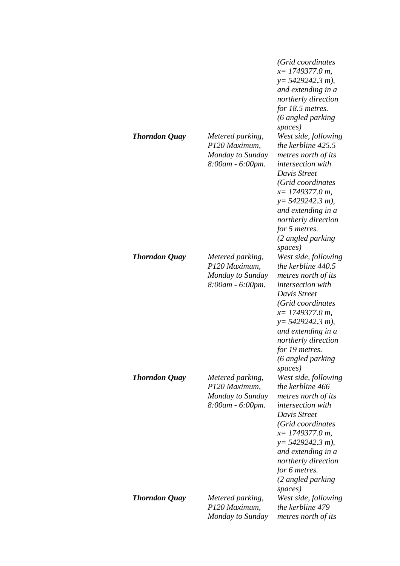|                      |                                                                           | (Grid coordinates<br>$x=1749377.0 m$ ,<br>$y=$ 5429242.3 m),<br>and extending in a<br>northerly direction<br>for 18.5 metres.<br>(6 angled parking<br>spaces)                                                                                                                  |
|----------------------|---------------------------------------------------------------------------|--------------------------------------------------------------------------------------------------------------------------------------------------------------------------------------------------------------------------------------------------------------------------------|
| <b>Thorndon Quay</b> | Metered parking,<br>P120 Maximum,<br>Monday to Sunday<br>8:00am - 6:00pm. | West side, following<br>the kerbline 425.5<br>metres north of its<br><i>intersection with</i><br>Davis Street<br>(Grid coordinates<br>$x=$ 1749377.0 m,<br>$y=$ 5429242.3 m),<br>and extending in a<br>northerly direction<br>for 5 metres.<br>(2 angled parking<br>spaces)    |
| <b>Thorndon Quay</b> | Metered parking,<br>P120 Maximum,<br>Monday to Sunday<br>8:00am - 6:00pm. | West side, following<br>the kerbline 440.5<br>metres north of its<br><i>intersection with</i><br>Davis Street<br>(Grid coordinates<br>$x=$ 1749377.0 m,<br>$y = 5429242.3 m$ ),<br>and extending in a<br>northerly direction<br>for 19 metres.<br>(6 angled parking<br>spaces) |
| <b>Thorndon Quay</b> | Metered parking,<br>P120 Maximum,<br>Monday to Sunday<br>8:00am - 6:00pm. | West side, following<br>the kerbline 466<br>metres north of its<br>intersection with<br>Davis Street<br>(Grid coordinates<br>$x=$ 1749377.0 m,<br>$y=$ 5429242.3 m),<br>and extending in a<br>northerly direction<br>for 6 metres.<br>(2 angled parking<br>spaces)             |
| <b>Thorndon Quay</b> | Metered parking,<br>P120 Maximum,<br>Monday to Sunday                     | West side, following<br>the kerbline 479<br>metres north of its                                                                                                                                                                                                                |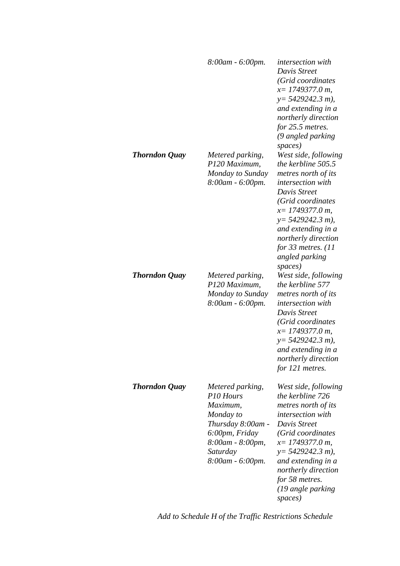|                      | 8:00am - 6:00pm.                                                                                                                                  | <i>intersection with</i><br>Davis Street<br>(Grid coordinates<br>$x=$ 1749377.0 m,<br>$y = 5429242.3 m$ ),<br>and extending in a<br>northerly direction<br>for 25.5 metres.<br>(9 angled parking                                                                                             |
|----------------------|---------------------------------------------------------------------------------------------------------------------------------------------------|----------------------------------------------------------------------------------------------------------------------------------------------------------------------------------------------------------------------------------------------------------------------------------------------|
| <b>Thorndon Quay</b> | Metered parking,<br>P120 Maximum,<br>Monday to Sunday<br>8:00am - 6:00pm.                                                                         | spaces)<br>West side, following<br>the kerbline 505.5<br>metres north of its<br><i>intersection with</i><br>Davis Street<br>(Grid coordinates<br>$x=$ 1749377.0 m,<br>$y = 5429242.3 m$ ,<br>and extending in a<br>northerly direction<br>for 33 metres. $(11)$<br>angled parking<br>spaces) |
| <b>Thorndon Quay</b> | Metered parking,<br>P120 Maximum,<br>Monday to Sunday<br>8:00am - 6:00pm.                                                                         | West side, following<br>the kerbline 577<br>metres north of its<br><i>intersection with</i><br>Davis Street<br>(Grid coordinates<br>$x=$ 1749377.0 m,<br>$y = 5429242.3 m$ ,<br>and extending in a<br>northerly direction<br>for 121 metres.                                                 |
| <b>Thorndon Quay</b> | Metered parking,<br>P10 Hours<br>Maximum,<br>Monday to<br>Thursday 8:00am -<br>6:00pm, Friday<br>8:00am - 8:00pm,<br>Saturday<br>8:00am - 6:00pm. | West side, following<br>the kerbline 726<br>metres north of its<br><i>intersection with</i><br>Davis Street<br>(Grid coordinates<br>$x=$ 1749377.0 m,<br>$y=$ 5429242.3 m),<br>and extending in a<br>northerly direction<br>for 58 metres.<br>(19 angle parking<br>spaces)                   |

*Add to Schedule H of the Traffic Restrictions Schedule*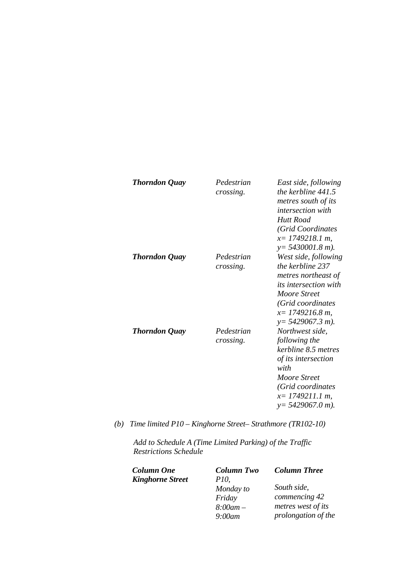| <b>Thorndon Quay</b> | Pedestrian<br>crossing. | East side, following<br>the kerbline 441.5<br>metres south of its<br><i>intersection with</i><br>Hutt Road<br>(Grid Coordinates<br>$x=$ 1749218.1 m,<br>$y = 5430001.8$ m).       |
|----------------------|-------------------------|-----------------------------------------------------------------------------------------------------------------------------------------------------------------------------------|
| <b>Thorndon Quay</b> | Pedestrian<br>crossing. | West side, following<br>the kerbline 237<br>metres northeast of<br><i>its intersection with</i><br>Moore Street<br>(Grid coordinates<br>$x=1749216.8 m$ ,<br>$y = 5429067.3 m$ ). |
| <b>Thorndon Quay</b> | Pedestrian<br>crossing. | Northwest side,<br>following the<br>kerbline 8.5 metres<br>of its intersection<br>with<br>Moore Street<br>(Grid coordinates<br>$x=$ 1749211.1 m,<br>$y = 5429067.0 m$ ).          |

*(b) Time limited P10 – Kinghorne Street– Strathmore (TR102-10)* 

*Add to Schedule A (Time Limited Parking) of the Traffic Restrictions Schedule* 

| <b>Column One</b>       | <b>Column Two</b> | <b>Column Three</b> |
|-------------------------|-------------------|---------------------|
| <b>Kinghorne Street</b> | <i>P10.</i>       |                     |
|                         | Monday to         | South side,         |
|                         | Friday            | commencing 42       |
|                         | $8:00$ am –       | metres west of its  |
|                         | $9:00$ am         | prolongation of the |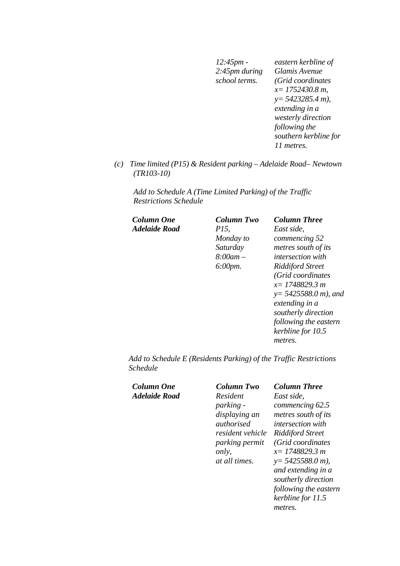*12:45pm - 2:45pm during school terms. eastern kerbline of Glamis Avenue (Grid coordinates x= 1752430.8 m, y= 5423285.4 m), extending in a westerly direction following the southern kerbline for 11 metres.* 

*(c) Time limited (P15) & Resident parking – Adelaide Road– Newtown (TR103-10)* 

*Add to Schedule A (Time Limited Parking) of the Traffic Restrictions Schedule* 

| Column One           | Column Two           | <b>Column Three</b>      |
|----------------------|----------------------|--------------------------|
| <b>Adelaide Road</b> | <i>P15.</i>          | East side.               |
|                      | Monday to            | commencing 52            |
|                      | Saturday             | metres south of its      |
|                      | $8:00$ am $-$        | <i>intersection with</i> |
|                      | $6:00 \, \text{pm}.$ | <b>Riddiford Street</b>  |
|                      |                      | (Grid coordinates        |
|                      |                      | $x=1748829.3 m$          |
|                      |                      | $y = 5425588.0 m$ , and  |
|                      |                      | extending in a           |
|                      |                      | southerly direction      |
|                      |                      | following the eastern    |
|                      |                      | kerbline for 10.5        |

*metres.* 

*Add to Schedule E (Residents Parking) of the Traffic Restrictions Schedule* 

| Column One<br>Adelaide Road | Column Two<br>Resident<br><i>parking -</i><br>displaying an<br><i>authorised</i><br>resident vehicle<br>parking permit<br>only,<br><i>at all times.</i> | <b>Column Three</b><br>East side.<br>commencing 62.5<br>metres south of its<br><i>intersection with</i><br><b>Riddiford Street</b><br>(Grid coordinates)<br>$x=1748829.3 m$<br>$y = 5425588.0 m$ ,<br>and extending in a<br>southerly direction<br>following the eastern<br>kerbline for 11.5<br>metres. |
|-----------------------------|---------------------------------------------------------------------------------------------------------------------------------------------------------|----------------------------------------------------------------------------------------------------------------------------------------------------------------------------------------------------------------------------------------------------------------------------------------------------------|
|-----------------------------|---------------------------------------------------------------------------------------------------------------------------------------------------------|----------------------------------------------------------------------------------------------------------------------------------------------------------------------------------------------------------------------------------------------------------------------------------------------------------|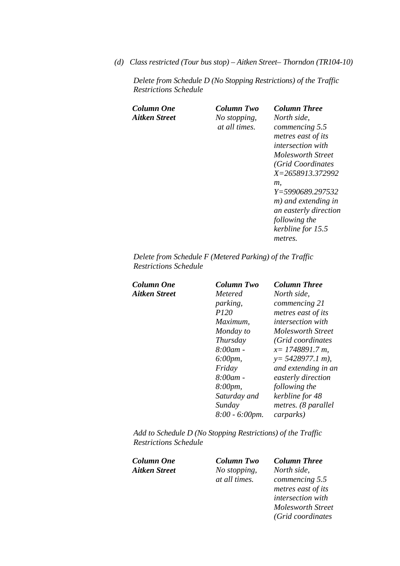*(d) Class restricted (Tour bus stop) – Aitken Street– Thorndon (TR104-10)* 

*Delete from Schedule D (No Stopping Restrictions) of the Traffic Restrictions Schedule* 

| Column One<br>Aitken Street | Column Two<br>No stopping,<br><i>at all times.</i> | <b>Column Three</b><br>North side.<br>commencing 5.5<br>metres east of its<br><i>intersection with</i><br>Molesworth Street<br>(Grid Coordinates<br>X=2658913.372992<br>т.<br>Y=5990689.297532<br>m) and extending in<br>an easterly direction |
|-----------------------------|----------------------------------------------------|------------------------------------------------------------------------------------------------------------------------------------------------------------------------------------------------------------------------------------------------|
|                             |                                                    | following the<br>kerbline for 15.5<br>metres.                                                                                                                                                                                                  |
|                             |                                                    |                                                                                                                                                                                                                                                |

*Delete from Schedule F (Metered Parking) of the Traffic Restrictions Schedule* 

| Column One    | <b>Column Two</b>     | <b>Column Three</b>      |
|---------------|-----------------------|--------------------------|
| Aitken Street | Metered               | North side,              |
|               | <i>parking,</i>       | commencing 21            |
|               | P120                  | metres east of its       |
|               | Maximum.              | <i>intersection with</i> |
|               | Monday to             | Molesworth Street        |
|               | Thursday              | (Grid coordinates)       |
|               | $8:00$ am -           | $x=1748891.7 m$ ,        |
|               | $6:00 \, \text{pm}$ , | $y = 5428977.1 m$ ,      |
|               | Friday                | and extending in an      |
|               | $8:00$ am -           | easterly direction       |
|               | 8:00pm,               | following the            |
|               | Saturday and          | kerbline for 48          |
|               | Sunday                | metres. (8 parallel      |
|               | $8:00 - 6:00$ pm.     | <i>carparks</i> )        |
|               |                       |                          |

*Add to Schedule D (No Stopping Restrictions) of the Traffic Restrictions Schedule* 

*Column One Column Two Column Three* 

*Aitken Street No stopping, at all times.* 

*North side, commencing 5.5 metres east of its intersection with Molesworth Street (Grid coordinates*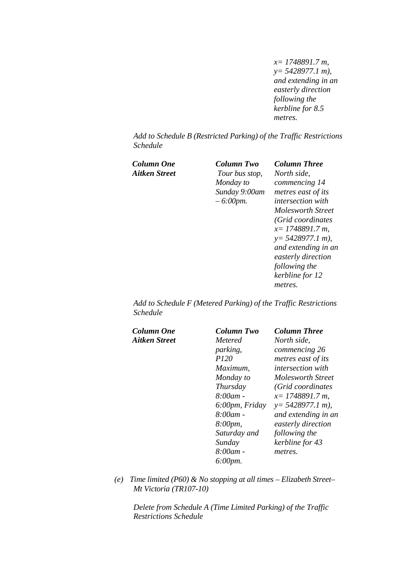*x= 1748891.7 m, y= 5428977.1 m), and extending in an easterly direction following the kerbline for 8.5 metres.* 

*Add to Schedule B (Restricted Parking) of the Traffic Restrictions Schedule* 

| Column One    | Column Two     | <b>Column Three</b>      |
|---------------|----------------|--------------------------|
| Aitken Street | Tour bus stop, | North side,              |
|               | Monday to      | commencing 14            |
|               | Sunday 9:00am  | metres east of its       |
|               | $-6:00$ pm.    | <i>intersection with</i> |
|               |                | Molesworth Street        |
|               |                | (Grid coordinates)       |
|               |                | $x=1748891.7 m$ ,        |
|               |                | $y = 5428977.1 m$ ,      |
|               |                | and extending in an      |
|               |                | easterly direction       |
|               |                | following the            |
|               |                | kerbline for 12          |
|               |                | metres.                  |
|               |                |                          |

*Add to Schedule F (Metered Parking) of the Traffic Restrictions Schedule* 

| Column One    | Column Two           | <b>Column Three</b>      |
|---------------|----------------------|--------------------------|
| Aitken Street | <i>Metered</i>       | North side,              |
|               | parking,             | commencing 26            |
|               | <i>P120</i>          | metres east of its       |
|               | Maximum,             | <i>intersection with</i> |
|               | Monday to            | <b>Molesworth Street</b> |
|               | Thursday             | (Grid coordinates        |
|               | $8:00am$ -           | $x=1748891.7 m$ ,        |
|               | 6:00pm, Friday       | $y = 5428977.1 m$ ,      |
|               | 8:00am -             | and extending in an      |
|               | 8:00pm,              | easterly direction       |
|               | Saturday and         | following the            |
|               | Sunday               | kerbline for 43          |
|               | 8:00am -             | metres.                  |
|               | $6:00 \, \text{pm}.$ |                          |

*(e) Time limited (P60) & No stopping at all times – Elizabeth Street– Mt Victoria (TR107-10)* 

*Delete from Schedule A (Time Limited Parking) of the Traffic Restrictions Schedule*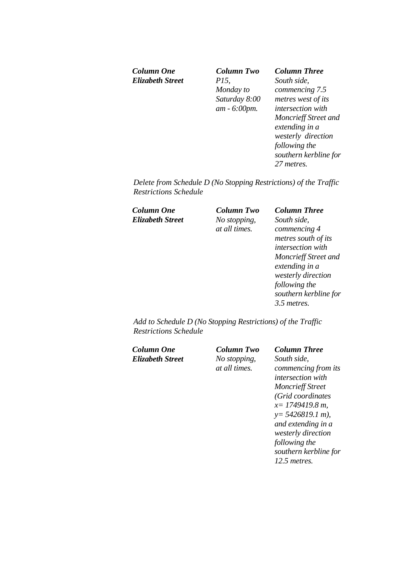*Elizabeth Street P15,* 

*Column One Column Two Column Three Monday to Saturday 8:00 am - 6:00pm.*

*South side, commencing 7.5 metres west of its intersection with Moncrieff Street and extending in a westerly direction following the southern kerbline for 27 metres.* 

*Delete from Schedule D (No Stopping Restrictions) of the Traffic Restrictions Schedule* 

*Column One Column Two Column Three Elizabeth Street No stopping,* 

*at all times.*

*South side, commencing 4 metres south of its intersection with Moncrieff Street and extending in a westerly direction following the southern kerbline for 3.5 metres.* 

*Add to Schedule D (No Stopping Restrictions) of the Traffic Restrictions Schedule* 

*Column One Column Two Column Three Elizabeth Street No stopping,* 

*at all times.*

*South side, commencing from its intersection with Moncrieff Street (Grid coordinates x= 1749419.8 m, y= 5426819.1 m), and extending in a westerly direction following the southern kerbline for 12.5 metres.*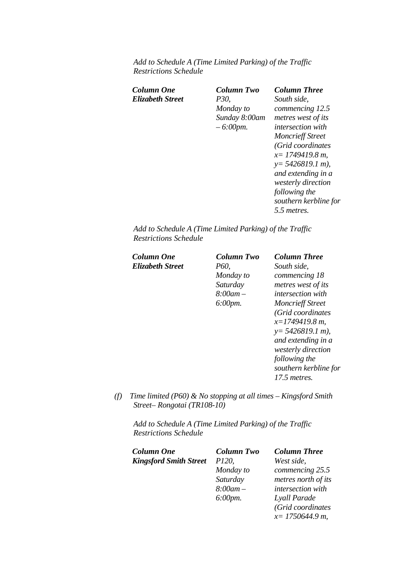*Add to Schedule A (Time Limited Parking) of the Traffic Restrictions Schedule* 

| Column One<br>Elizabeth Street | Column Two<br><i>P30</i> .<br>Monday to<br>Sunday 8:00am<br>$-6:00$ pm. | <b>Column Three</b><br>South side.<br>commencing 12.5<br>metres west of its<br><i>intersection with</i><br><b>Moncrieff Street</b><br>(Grid coordinates<br>$x=1749419.8 m$ ,<br>$y = 5426819.1 m$ ,<br>and extending in a<br>westerly direction<br>following the<br>southern kerbline for |
|--------------------------------|-------------------------------------------------------------------------|-------------------------------------------------------------------------------------------------------------------------------------------------------------------------------------------------------------------------------------------------------------------------------------------|
|                                |                                                                         | 5.5 metres.                                                                                                                                                                                                                                                                               |

*Add to Schedule A (Time Limited Parking) of the Traffic Restrictions Schedule* 

| Column One       | Column Two           | <b>Column Three</b>      |
|------------------|----------------------|--------------------------|
| Elizabeth Street | P60,                 | South side,              |
|                  | Monday to            | commencing 18            |
|                  | Saturday             | metres west of its       |
|                  | $8:00$ am $-$        | <i>intersection with</i> |
|                  | $6:00 \, \text{pm}.$ | <b>Moncrieff Street</b>  |
|                  |                      | (Grid coordinates        |
|                  |                      | $x=1749419.8 m$ ,        |
|                  |                      | $y = 5426819.1 m$ ,      |
|                  |                      | and extending in a       |
|                  |                      | westerly direction       |
|                  |                      | following the            |
|                  |                      | southern kerbline for    |
|                  |                      | 17.5 metres.             |

*(f) Time limited (P60) & No stopping at all times – Kingsford Smith Street– Rongotai (TR108-10)* 

*Add to Schedule A (Time Limited Parking) of the Traffic Restrictions Schedule* 

| <b>Column One</b>             | <b>Column Two</b>    | <b>Column Three</b> |
|-------------------------------|----------------------|---------------------|
| <b>Kingsford Smith Street</b> | P120,                | West side,          |
|                               | Monday to            | commencing 25.5     |
|                               | Saturday             | metres north of its |
|                               | $8:00$ am –          | intersection with   |
|                               | $6:00 \, \text{pm}.$ | Lyall Parade        |
|                               |                      | (Grid coordinates   |
|                               |                      | $x=$ 1750644.9 m,   |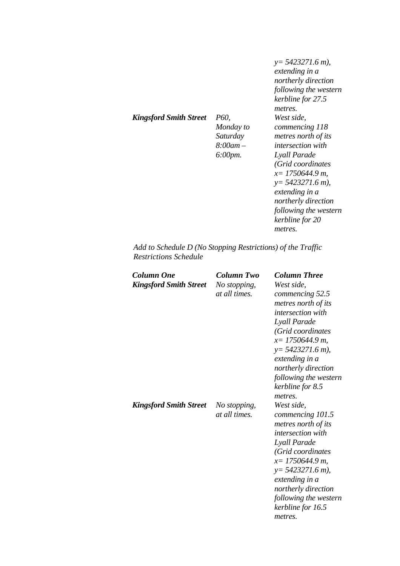*Kingsford Smith Street P60,* 

*Monday to Saturday 8:00am – 6:00pm.*

*y= 5423271.6 m), extending in a northerly direction following the western kerbline for 27.5 metres. West side, commencing 118 metres north of its intersection with Lyall Parade (Grid coordinates x= 1750644.9 m, y= 5423271.6 m), extending in a northerly direction following the western kerbline for 20 metres.* 

*Add to Schedule D (No Stopping Restrictions) of the Traffic Restrictions Schedule* 

| Column One<br><b>Kingsford Smith Street</b> | Column Two<br>No stopping,<br>at all times. | <b>Column Three</b><br>West side,<br>commencing 52.5<br>metres north of its<br><i>intersection with</i><br>Lyall Parade<br>(Grid coordinates<br>$x=$ 1750644.9 m,<br>$y=5423271.6$ m),<br>extending in a<br>northerly direction<br>following the western<br>kerbline for 8.5<br>metres. |
|---------------------------------------------|---------------------------------------------|-----------------------------------------------------------------------------------------------------------------------------------------------------------------------------------------------------------------------------------------------------------------------------------------|
| <b>Kingsford Smith Street</b>               | No stopping,<br>at all times.               | West side,<br>commencing 101.5<br>metres north of its<br>intersection with<br>Lyall Parade<br>(Grid coordinates<br>$x=$ 1750644.9 m,<br>$y=$ 5423271.6 m),<br>extending in a<br>northerly direction<br>following the western<br>kerbline for 16.5<br>metres.                            |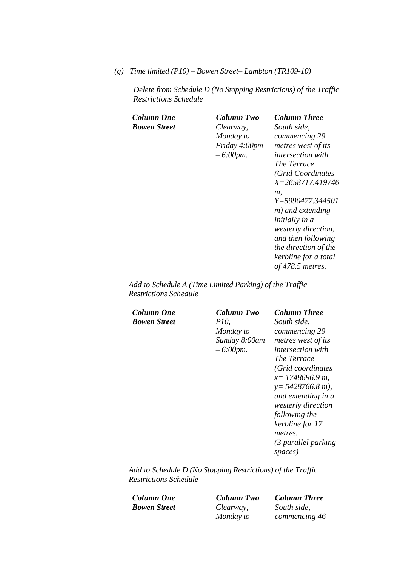*(g) Time limited (P10) – Bowen Street– Lambton (TR109-10)* 

*Delete from Schedule D (No Stopping Restrictions) of the Traffic Restrictions Schedule* 

| Column One   | Column Two    | Column Three               |
|--------------|---------------|----------------------------|
| Bowen Street | Clearway,     | South side,                |
|              | Monday to     | commencing 29              |
|              | Friday 4:00pm | metres west of its         |
|              | $-6:00$ pm.   | <i>intersection with</i>   |
|              |               | The Terrace                |
|              |               | (Grid Coordinates          |
|              |               | X=2658717.419746           |
|              |               | т.                         |
|              |               | Y=5990477.344501           |
|              |               | m) and extending           |
|              |               | <i>initially in a</i>      |
|              |               | <i>westerly direction,</i> |
|              |               | and then following         |
|              |               | the direction of the       |
|              |               | kerbline for a total       |
|              |               | of 478.5 metres.           |
|              |               |                            |

*Add to Schedule A (Time Limited Parking) of the Traffic Restrictions Schedule* 

*Column One Column Two Column Three Bowen Street P10,* 

*Monday to Sunday 8:00am – 6:00pm.*

*South side, commencing 29 metres west of its intersection with The Terrace (Grid coordinates x= 1748696.9 m, y= 5428766.8 m), and extending in a westerly direction following the kerbline for 17 metres. (3 parallel parking spaces)* 

*Add to Schedule D (No Stopping Restrictions) of the Traffic Restrictions Schedule* 

*Bowen Street Clearway,* 

*Monday to* 

*Column One Column Two Column Three South side, commencing 46*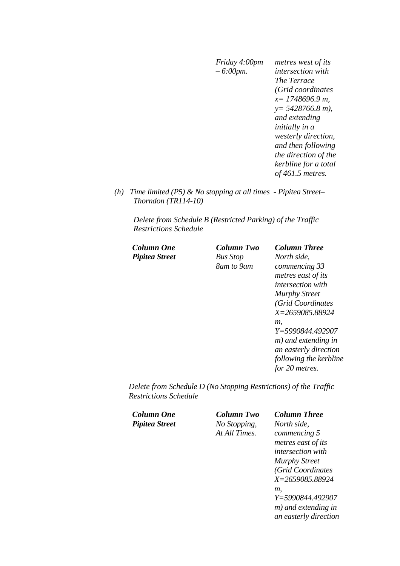*Friday 4:00pm – 6:00pm. metres west of its intersection with The Terrace (Grid coordinates x= 1748696.9 m, y= 5428766.8 m), and extending initially in a westerly direction, and then following the direction of the kerbline for a total of 461.5 metres.* 

*(h) Time limited (P5) & No stopping at all times - Pipitea Street– Thorndon (TR114-10)* 

*Delete from Schedule B (Restricted Parking) of the Traffic Restrictions Schedule* 

| Column One     | Column Two      | <b>Column Three</b>      |
|----------------|-----------------|--------------------------|
| Pipitea Street | <b>Bus Stop</b> | North side,              |
|                | 8am to 9am      | commencing 33            |
|                |                 | metres east of its       |
|                |                 | <i>intersection with</i> |
|                |                 | <b>Murphy Street</b>     |
|                |                 | (Grid Coordinates)       |
|                |                 | X=2659085.88924          |
|                |                 | т.                       |
|                |                 | Y=5990844.492907         |
|                |                 | m) and extending in      |
|                |                 | an easterly direction    |
|                |                 | following the kerbline   |
|                |                 | for 20 metres.           |
|                |                 |                          |

*Delete from Schedule D (No Stopping Restrictions) of the Traffic Restrictions Schedule* 

| Column One     | <b>Column Two</b> | <b>Column Three</b>      |
|----------------|-------------------|--------------------------|
| Pipitea Street | No Stopping,      | North side,              |
|                | At All Times.     | commencing 5             |
|                |                   | metres east of its       |
|                |                   | <i>intersection with</i> |
|                |                   | <b>Murphy Street</b>     |
|                |                   | (Grid Coordinates        |
|                |                   | X=2659085.88924          |
|                |                   | т.                       |
|                |                   | Y=5990844.492907         |
|                |                   | m) and extending in      |
|                |                   | an easterly direction    |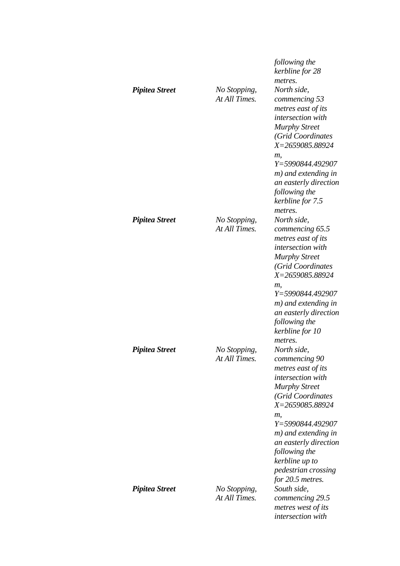| <b>Pipitea Street</b> | No Stopping,<br>At All Times. | following the<br>kerbline for 28<br>metres.<br>North side,<br>commencing 53<br>metres east of its<br>intersection with<br><b>Murphy Street</b><br>(Grid Coordinates<br>X=2659085.88924<br>т,<br>Y=5990844.492907<br>m) and extending in<br>an easterly direction<br>following the<br>kerbline for 7.5<br>metres. |
|-----------------------|-------------------------------|------------------------------------------------------------------------------------------------------------------------------------------------------------------------------------------------------------------------------------------------------------------------------------------------------------------|
| <b>Pipitea Street</b> | No Stopping,<br>At All Times. | North side,<br>commencing 65.5<br>metres east of its<br>intersection with<br><b>Murphy Street</b><br>(Grid Coordinates<br>X=2659085.88924<br>т.<br>Y=5990844.492907<br>m) and extending in<br>an easterly direction<br>following the<br>kerbline for 10<br>metres.                                               |
| <b>Pipitea Street</b> | No Stopping,<br>At All Times. | North side,<br>commencing 90<br>metres east of its<br>intersection with<br><b>Murphy Street</b><br>(Grid Coordinates<br>X=2659085.88924<br>т,<br>Y=5990844.492907<br>m) and extending in<br>an easterly direction<br>following the<br>kerbline up to<br>pedestrian crossing<br>for 20.5 metres.                  |
| <b>Pipitea Street</b> | No Stopping,<br>At All Times. | South side,<br>commencing 29.5<br>metres west of its<br>intersection with                                                                                                                                                                                                                                        |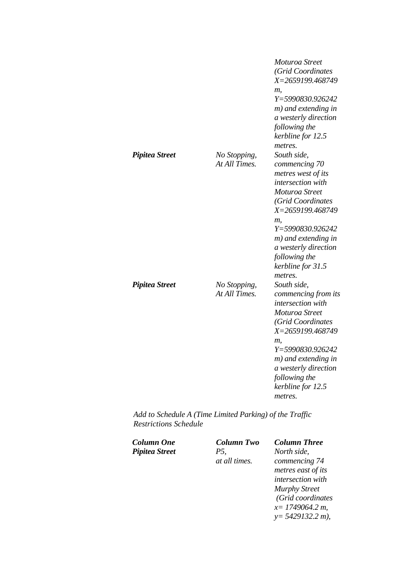|                       |                               | Moturoa Street<br>(Grid Coordinates<br>X=2659199.468749<br>m,<br>Y=5990830.926242<br>m) and extending in<br>a westerly direction<br>following the<br>kerbline for 12.5<br>metres.                                                                            |
|-----------------------|-------------------------------|--------------------------------------------------------------------------------------------------------------------------------------------------------------------------------------------------------------------------------------------------------------|
| <b>Pipitea Street</b> | No Stopping,<br>At All Times. | South side,<br>commencing 70<br>metres west of its<br>intersection with<br>Moturoa Street<br>(Grid Coordinates<br>X=2659199.468749<br>m,<br>Y=5990830.926242<br>m) and extending in<br>a westerly direction<br>following the<br>kerbline for 31.5<br>metres. |
| <b>Pipitea Street</b> | No Stopping,<br>At All Times. | South side,<br>commencing from its<br>intersection with<br>Moturoa Street<br>(Grid Coordinates<br>X=2659199.468749<br>m,<br>Y=5990830.926242<br>m) and extending in<br>a westerly direction<br>following the<br>kerbline for 12.5<br>metres.                 |

*Add to Schedule A (Time Limited Parking) of the Traffic Restrictions Schedule* 

| Column One     | Column Two    | <b>Column Three</b>  |
|----------------|---------------|----------------------|
| Pipitea Street | P5,           | North side,          |
|                | at all times. | commencing 74        |
|                |               | metres east of its   |
|                |               | intersection with    |
|                |               | <b>Murphy Street</b> |
|                |               | (Grid coordinates    |
|                |               | $x=1749064.2 m$ ,    |
|                |               | $y=$ 5429132.2 m),   |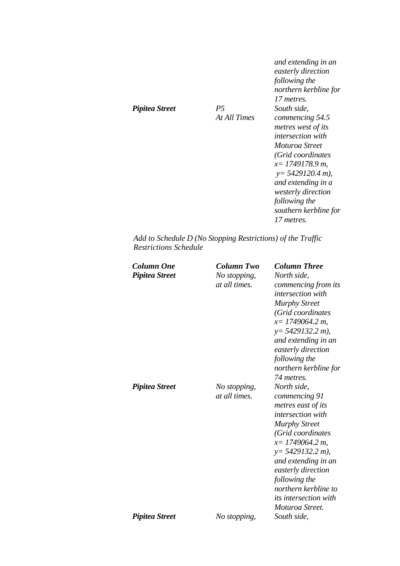|                       |                             | and extending in an<br>easterly direction<br>following the<br>northern kerbline for<br>17 metres.                                                                                                             |
|-----------------------|-----------------------------|---------------------------------------------------------------------------------------------------------------------------------------------------------------------------------------------------------------|
| <b>Pipitea Street</b> | <i>P</i> .5<br>At All Times | South side,<br>commencing 54.5<br>metres west of its<br><i>intersection with</i><br>Moturoa Street<br>(Grid coordinates<br>$x=1749178.9 m$ ,<br>$y=5429120.4$ m),<br>and extending in a<br>westerly direction |
|                       |                             | following the<br>southern kerbline for<br>17 metres.                                                                                                                                                          |

*Add to Schedule D (No Stopping Restrictions) of the Traffic Restrictions Schedule* 

| <b>Column One</b><br><b>Pipitea Street</b> | Column Two<br>No stopping,<br>at all times. | <b>Column Three</b><br>North side,<br>commencing from its<br><i>intersection</i> with<br><b>Murphy Street</b><br>(Grid coordinates<br>$x=1749064.2 m$ ,<br>$y=$ 5429132.2 m),<br>and extending in an<br>easterly direction<br>following the<br>northern kerbline for<br>74 metres.                              |
|--------------------------------------------|---------------------------------------------|-----------------------------------------------------------------------------------------------------------------------------------------------------------------------------------------------------------------------------------------------------------------------------------------------------------------|
| <b>Pipitea Street</b>                      | No stopping,<br>at all times.               | North side,<br>commencing 91<br>metres east of its<br><i>intersection with</i><br><b>Murphy Street</b><br>(Grid coordinates<br>$x=1749064.2 m$ ,<br>$y=$ 5429132.2 m),<br>and extending in an<br>easterly direction<br>following the<br>northern kerbline to<br><i>its intersection with</i><br>Moturoa Street. |
| <b>Pipitea Street</b>                      | No stopping,                                | South side,                                                                                                                                                                                                                                                                                                     |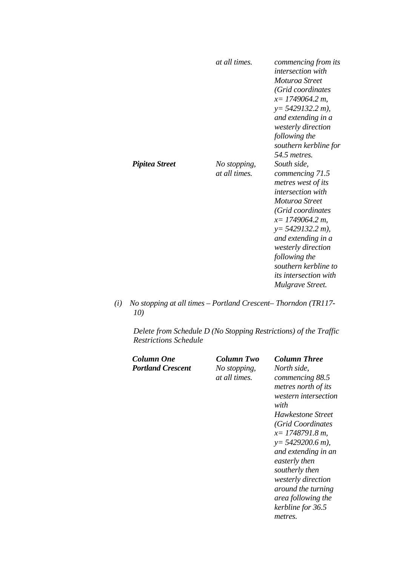|                | at all times.                 | commencing from its<br><i>intersection</i> with<br>Moturoa Street<br>(Grid coordinates<br>$x=1749064.2 m$ ,<br>$y=5429132.2 m$ ),<br>and extending in a<br>westerly direction<br>following the<br>southern kerbline for<br>54.5 metres.                                                                           |
|----------------|-------------------------------|-------------------------------------------------------------------------------------------------------------------------------------------------------------------------------------------------------------------------------------------------------------------------------------------------------------------|
| Pipitea Street | No stopping,<br>at all times. | South side,<br>commencing 71.5<br>metres west of its<br><i>intersection with</i><br>Moturoa Street<br>(Grid coordinates<br>$x=1749064.2 m$ ,<br>$y=5429132.2 m$ ,<br>and extending in a<br><i>westerly direction</i><br>following the<br>southern kerbline to<br><i>its intersection with</i><br>Mulgrave Street. |

*(i) No stopping at all times – Portland Crescent– Thorndon (TR117- 10)* 

*Delete from Schedule D (No Stopping Restrictions) of the Traffic Restrictions Schedule* 

| Portland Crescent<br>No stopping,<br>at all times. | commencing 88.5<br>metres north of its<br>western intersection<br>with<br>Hawkestone Street<br>(Grid Coordinates<br>$x=1748791.8 m$ .<br>$y=$ 5429200.6 m),<br>and extending in an<br>easterly then<br>southerly then<br><i>westerly direction</i><br>around the turning<br>area following the<br>kerbline for 36.5<br>metres. |
|----------------------------------------------------|--------------------------------------------------------------------------------------------------------------------------------------------------------------------------------------------------------------------------------------------------------------------------------------------------------------------------------|
|----------------------------------------------------|--------------------------------------------------------------------------------------------------------------------------------------------------------------------------------------------------------------------------------------------------------------------------------------------------------------------------------|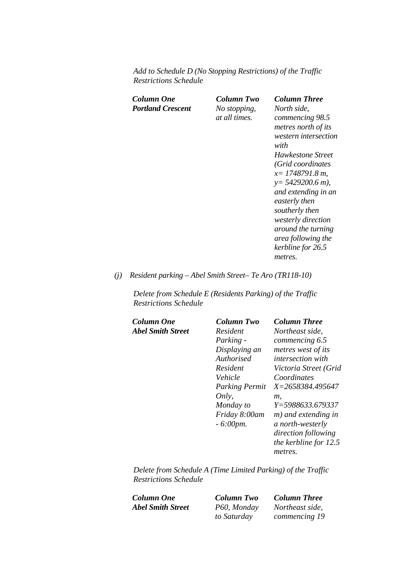*Add to Schedule D (No Stopping Restrictions) of the Traffic Restrictions Schedule* 

*Column One Column Two Column Three Portland Crescent No stopping,* 

*at all times.*

*North side, commencing 98.5 metres north of its western intersection with Hawkestone Street (Grid coordinates x= 1748791.8 m, y= 5429200.6 m), and extending in an easterly then southerly then westerly direction around the turning area following the kerbline for 26.5 metres.* 

### *(j) Resident parking – Abel Smith Street– Te Aro (TR118-10)*

*Delete from Schedule E (Residents Parking) of the Traffic Restrictions Schedule* 

*Column One Column Two Column Three Abel Smith Street* 

| Column Two            | Column Three             |
|-----------------------|--------------------------|
| Resident              | Northeast side,          |
| Parking -             | commencing 6.5           |
| Displaying an         | metres west of its       |
| Authorised            | <i>intersection with</i> |
| Resident              | Victoria Street (Grid    |
| Vehicle               | Coordinates              |
| <b>Parking Permit</b> | X=2658384.495647         |
| Only,                 | т.                       |
| Monday to             | Y=5988633.679337         |
| Friday 8:00am         | m) and extending in      |
| $-6:00$ pm.           | a north-westerly         |
|                       | direction following      |
|                       | the kerbline for 12.5    |
|                       | metres.                  |

*Delete from Schedule A (Time Limited Parking) of the Traffic Restrictions Schedule* 

*Column One Column Two Column Three Abel Smith Street P60, Monday* 

*to Saturday* 

*Northeast side, commencing 19*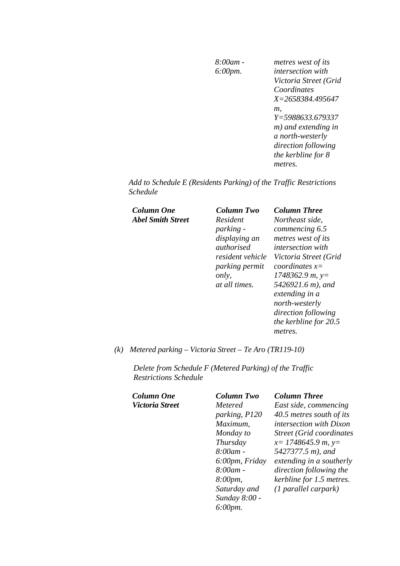*8:00am - 6:00pm. metres west of its intersection with Victoria Street (Grid Coordinates X=2658384.495647 m, Y=5988633.679337 m) and extending in a north-westerly direction following the kerbline for 8 metres.* 

*Add to Schedule E (Residents Parking) of the Traffic Restrictions Schedule* 

| Column One        |  |
|-------------------|--|
| Abel Smith Street |  |

| Column One        | Column Two            | <b>Column Three</b>      |
|-------------------|-----------------------|--------------------------|
| Abel Smith Street | Resident              | Northeast side,          |
|                   | <i>parking -</i>      | commencing 6.5           |
|                   | displaying an         | metres west of its       |
|                   | authorised            | <i>intersection with</i> |
|                   | resident vehicle      | Victoria Street (Grid    |
|                   | <i>parking permit</i> | coordinates $x=$         |
|                   | only,                 | $1748362.9 m$ , y=       |
|                   | at all times.         | 5426921.6 m), and        |
|                   |                       | extending in a           |
|                   |                       | north-westerly           |
|                   |                       | direction following      |
|                   |                       | the kerbline for 20.5    |
|                   |                       | metres.                  |
|                   |                       |                          |

*(k) Metered parking – Victoria Street – Te Aro (TR119-10)* 

*Delete from Schedule F (Metered Parking) of the Traffic Restrictions Schedule* 

| <b>Column One</b> | Column  |
|-------------------|---------|
| Victoria Street   | Metered |

| Column One      | <b>Column Two</b>    | <b>Column Three</b>              |
|-----------------|----------------------|----------------------------------|
| Victoria Street | Metered              | East side, commencing            |
|                 | parking, P120        | 40.5 metres south of its         |
|                 | Maximum,             | <i>intersection with Dixon</i>   |
|                 | Monday to            | <b>Street (Grid coordinates)</b> |
|                 | Thursday             | $x=$ 1748645.9 m, y=             |
|                 | $8:00$ am -          | 5427377.5 m), and                |
|                 | 6:00pm, Friday       | extending in a southerly         |
|                 | $8:00$ am -          | direction following the          |
|                 | 8:00pm,              | kerbline for 1.5 metres.         |
|                 | Saturday and         | $(1$ parallel carpark)           |
|                 | Sunday 8:00 -        |                                  |
|                 | $6:00 \, \text{pm}.$ |                                  |